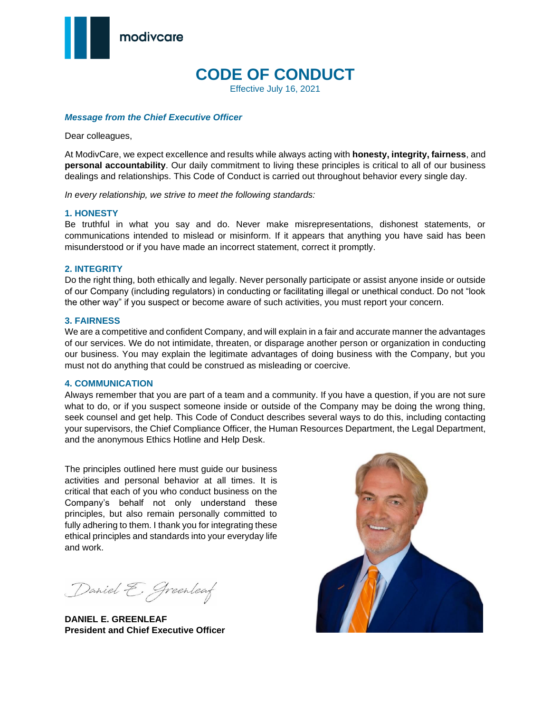

# **CODE OF CONDUCT**

Effective July 16, 2021

#### *Message from the Chief Executive Officer*

Dear colleagues,

At ModivCare, we expect excellence and results while always acting with **honesty, integrity, fairness**, and **personal accountability**. Our daily commitment to living these principles is critical to all of our business dealings and relationships. This Code of Conduct is carried out throughout behavior every single day.

*In every relationship, we strive to meet the following standards:*

#### **1. HONESTY**

Be truthful in what you say and do. Never make misrepresentations, dishonest statements, or communications intended to mislead or misinform. If it appears that anything you have said has been misunderstood or if you have made an incorrect statement, correct it promptly.

#### **2. INTEGRITY**

Do the right thing, both ethically and legally. Never personally participate or assist anyone inside or outside of our Company (including regulators) in conducting or facilitating illegal or unethical conduct. Do not "look the other way" if you suspect or become aware of such activities, you must report your concern.

#### **3. FAIRNESS**

We are a competitive and confident Company, and will explain in a fair and accurate manner the advantages of our services. We do not intimidate, threaten, or disparage another person or organization in conducting our business. You may explain the legitimate advantages of doing business with the Company, but you must not do anything that could be construed as misleading or coercive.

#### **4. COMMUNICATION**

Always remember that you are part of a team and a community. If you have a question, if you are not sure what to do, or if you suspect someone inside or outside of the Company may be doing the wrong thing, seek counsel and get help. This Code of Conduct describes several ways to do this, including contacting your supervisors, the Chief Compliance Officer, the Human Resources Department, the Legal Department, and the anonymous Ethics Hotline and Help Desk.

The principles outlined here must guide our business activities and personal behavior at all times. It is critical that each of you who conduct business on the Company's behalf not only understand these principles, but also remain personally committed to fully adhering to them. I thank you for integrating these ethical principles and standards into your everyday life and work.

Daniel E. Greenleaf

**DANIEL E. GREENLEAF President and Chief Executive Officer**

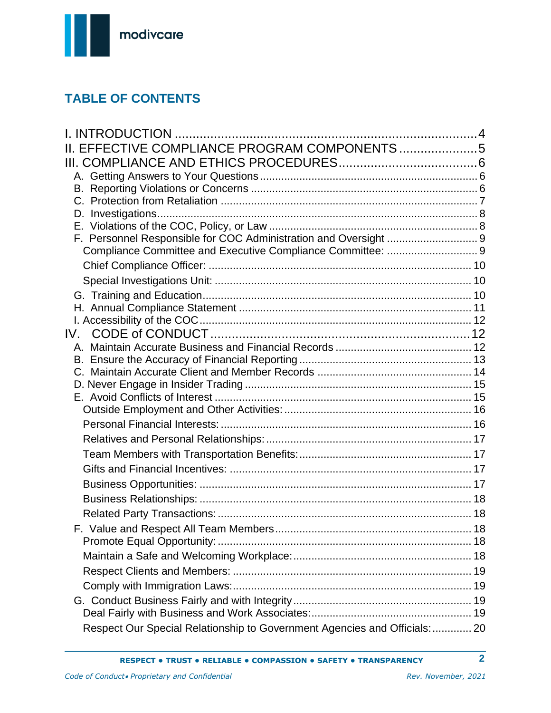

# **TABLE OF CONTENTS**

| II. EFFECTIVE COMPLIANCE PROGRAM COMPONENTS5<br>IV.                        |
|----------------------------------------------------------------------------|
|                                                                            |
|                                                                            |
|                                                                            |
|                                                                            |
|                                                                            |
|                                                                            |
|                                                                            |
|                                                                            |
|                                                                            |
|                                                                            |
|                                                                            |
|                                                                            |
|                                                                            |
|                                                                            |
|                                                                            |
|                                                                            |
|                                                                            |
|                                                                            |
|                                                                            |
|                                                                            |
|                                                                            |
|                                                                            |
|                                                                            |
|                                                                            |
|                                                                            |
|                                                                            |
|                                                                            |
|                                                                            |
|                                                                            |
|                                                                            |
|                                                                            |
|                                                                            |
|                                                                            |
|                                                                            |
|                                                                            |
| Respect Our Special Relationship to Government Agencies and Officials:  20 |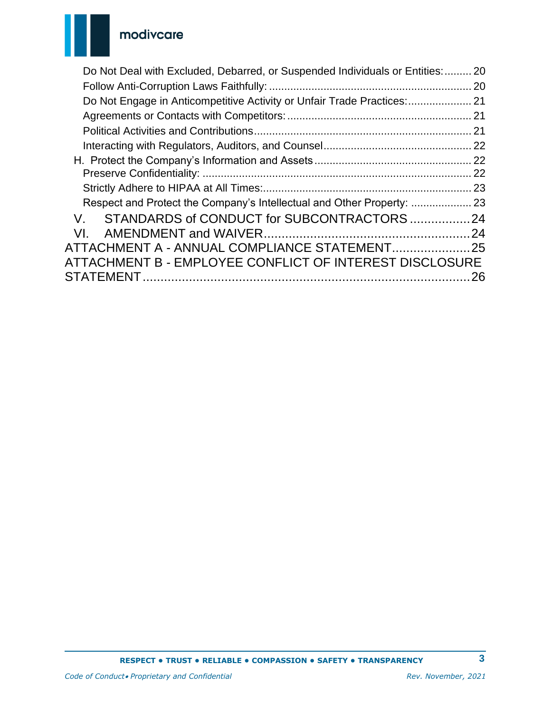

| Do Not Deal with Excluded, Debarred, or Suspended Individuals or Entities:  20 |    |
|--------------------------------------------------------------------------------|----|
|                                                                                |    |
|                                                                                |    |
|                                                                                |    |
|                                                                                |    |
|                                                                                |    |
|                                                                                |    |
|                                                                                | 22 |
|                                                                                |    |
| Respect and Protect the Company's Intellectual and Other Property:  23         |    |
|                                                                                |    |
| VL.                                                                            |    |
|                                                                                |    |
| ATTACHMENT B - EMPLOYEE CONFLICT OF INTEREST DISCLOSURE                        |    |
|                                                                                | 26 |
|                                                                                |    |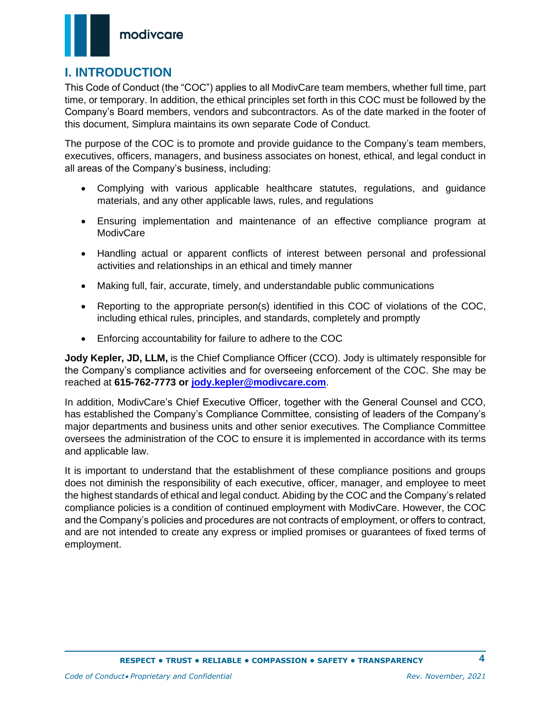

## <span id="page-3-0"></span>**I. INTRODUCTION**

This Code of Conduct (the "COC") applies to all ModivCare team members, whether full time, part time, or temporary. In addition, the ethical principles set forth in this COC must be followed by the Company's Board members, vendors and subcontractors. As of the date marked in the footer of this document, Simplura maintains its own separate Code of Conduct.

The purpose of the COC is to promote and provide guidance to the Company's team members, executives, officers, managers, and business associates on honest, ethical, and legal conduct in all areas of the Company's business, including:

- Complying with various applicable healthcare statutes, regulations, and guidance materials, and any other applicable laws, rules, and regulations
- Ensuring implementation and maintenance of an effective compliance program at **ModivCare**
- Handling actual or apparent conflicts of interest between personal and professional activities and relationships in an ethical and timely manner
- Making full, fair, accurate, timely, and understandable public communications
- Reporting to the appropriate person(s) identified in this COC of violations of the COC, including ethical rules, principles, and standards, completely and promptly
- Enforcing accountability for failure to adhere to the COC

**Jody Kepler, JD, LLM,** is the Chief Compliance Officer (CCO). Jody is ultimately responsible for the Company's compliance activities and for overseeing enforcement of the COC. She may be reached at **615-762-7773 or [jody.kepler@modivcare.com](mailto:jody.kepler@logisticare.com)**.

In addition, ModivCare's Chief Executive Officer, together with the General Counsel and CCO, has established the Company's Compliance Committee, consisting of leaders of the Company's major departments and business units and other senior executives. The Compliance Committee oversees the administration of the COC to ensure it is implemented in accordance with its terms and applicable law.

It is important to understand that the establishment of these compliance positions and groups does not diminish the responsibility of each executive, officer, manager, and employee to meet the highest standards of ethical and legal conduct. Abiding by the COC and the Company's related compliance policies is a condition of continued employment with ModivCare. However, the COC and the Company's policies and procedures are not contracts of employment, or offers to contract, and are not intended to create any express or implied promises or guarantees of fixed terms of employment.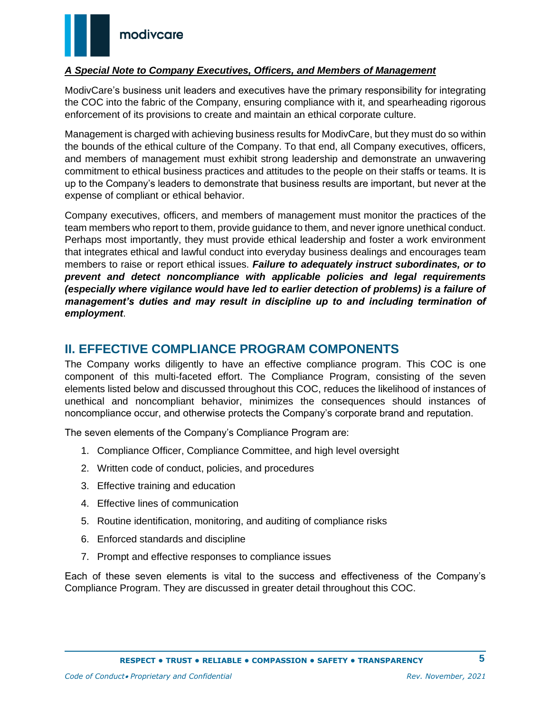

#### *A Special Note to Company Executives, Officers, and Members of Management*

ModivCare's business unit leaders and executives have the primary responsibility for integrating the COC into the fabric of the Company, ensuring compliance with it, and spearheading rigorous enforcement of its provisions to create and maintain an ethical corporate culture.

Management is charged with achieving business results for ModivCare, but they must do so within the bounds of the ethical culture of the Company. To that end, all Company executives, officers, and members of management must exhibit strong leadership and demonstrate an unwavering commitment to ethical business practices and attitudes to the people on their staffs or teams. It is up to the Company's leaders to demonstrate that business results are important, but never at the expense of compliant or ethical behavior.

Company executives, officers, and members of management must monitor the practices of the team members who report to them, provide guidance to them, and never ignore unethical conduct. Perhaps most importantly, they must provide ethical leadership and foster a work environment that integrates ethical and lawful conduct into everyday business dealings and encourages team members to raise or report ethical issues. *Failure to adequately instruct subordinates, or to prevent and detect noncompliance with applicable policies and legal requirements (especially where vigilance would have led to earlier detection of problems) is a failure of management's duties and may result in discipline up to and including termination of employment*.

### <span id="page-4-0"></span>**II. EFFECTIVE COMPLIANCE PROGRAM COMPONENTS**

The Company works diligently to have an effective compliance program. This COC is one component of this multi-faceted effort. The Compliance Program, consisting of the seven elements listed below and discussed throughout this COC, reduces the likelihood of instances of unethical and noncompliant behavior, minimizes the consequences should instances of noncompliance occur, and otherwise protects the Company's corporate brand and reputation.

The seven elements of the Company's Compliance Program are:

- 1. Compliance Officer, Compliance Committee, and high level oversight
- 2. Written code of conduct, policies, and procedures
- 3. Effective training and education
- 4. Effective lines of communication
- 5. Routine identification, monitoring, and auditing of compliance risks
- 6. Enforced standards and discipline
- 7. Prompt and effective responses to compliance issues

Each of these seven elements is vital to the success and effectiveness of the Company's Compliance Program. They are discussed in greater detail throughout this COC.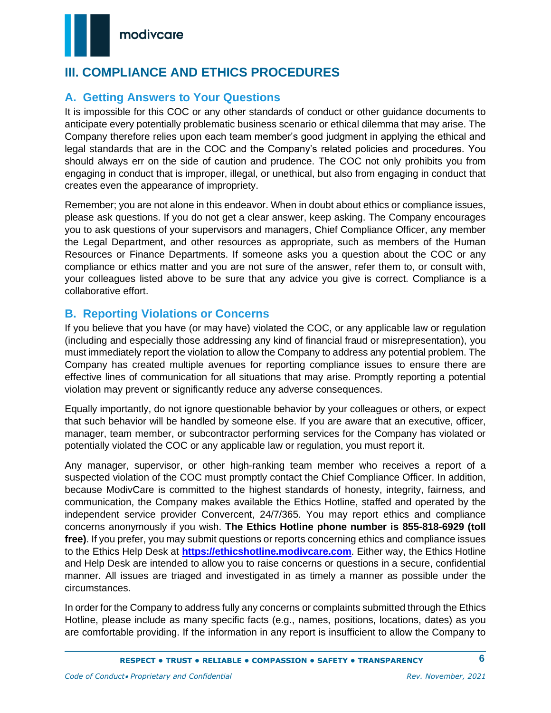

## <span id="page-5-0"></span>**III. COMPLIANCE AND ETHICS PROCEDURES**

## <span id="page-5-1"></span>**A. Getting Answers to Your Questions**

It is impossible for this COC or any other standards of conduct or other guidance documents to anticipate every potentially problematic business scenario or ethical dilemma that may arise. The Company therefore relies upon each team member's good judgment in applying the ethical and legal standards that are in the COC and the Company's related policies and procedures. You should always err on the side of caution and prudence. The COC not only prohibits you from engaging in conduct that is improper, illegal, or unethical, but also from engaging in conduct that creates even the appearance of impropriety.

Remember; you are not alone in this endeavor. When in doubt about ethics or compliance issues, please ask questions. If you do not get a clear answer, keep asking. The Company encourages you to ask questions of your supervisors and managers, Chief Compliance Officer, any member the Legal Department, and other resources as appropriate, such as members of the Human Resources or Finance Departments. If someone asks you a question about the COC or any compliance or ethics matter and you are not sure of the answer, refer them to, or consult with, your colleagues listed above to be sure that any advice you give is correct. Compliance is a collaborative effort.

### <span id="page-5-2"></span>**B. Reporting Violations or Concerns**

If you believe that you have (or may have) violated the COC, or any applicable law or regulation (including and especially those addressing any kind of financial fraud or misrepresentation), you must immediately report the violation to allow the Company to address any potential problem. The Company has created multiple avenues for reporting compliance issues to ensure there are effective lines of communication for all situations that may arise. Promptly reporting a potential violation may prevent or significantly reduce any adverse consequences.

Equally importantly, do not ignore questionable behavior by your colleagues or others, or expect that such behavior will be handled by someone else. If you are aware that an executive, officer, manager, team member, or subcontractor performing services for the Company has violated or potentially violated the COC or any applicable law or regulation, you must report it.

Any manager, supervisor, or other high-ranking team member who receives a report of a suspected violation of the COC must promptly contact the Chief Compliance Officer. In addition, because ModivCare is committed to the highest standards of honesty, integrity, fairness, and communication, the Company makes available the Ethics Hotline, staffed and operated by the independent service provider Convercent, 24/7/365. You may report ethics and compliance concerns anonymously if you wish. **The Ethics Hotline phone number is 855-818-6929 (toll free)**. If you prefer, you may submit questions or reports concerning ethics and compliance issues to the Ethics Help Desk at **[https://ethicshotline.modivcare.com](https://ethicshotline.logisticare.com/)**. Either way, the Ethics Hotline and Help Desk are intended to allow you to raise concerns or questions in a secure, confidential manner. All issues are triaged and investigated in as timely a manner as possible under the circumstances.

In order for the Company to address fully any concerns or complaints submitted through the Ethics Hotline, please include as many specific facts (e.g., names, positions, locations, dates) as you are comfortable providing. If the information in any report is insufficient to allow the Company to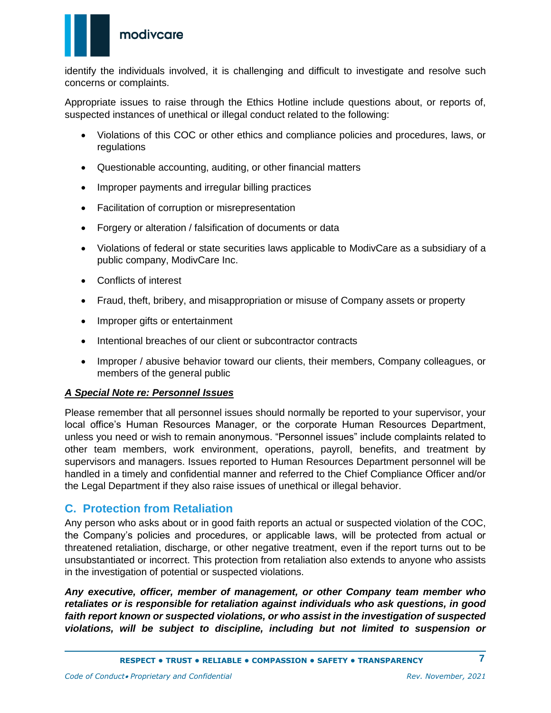

identify the individuals involved, it is challenging and difficult to investigate and resolve such concerns or complaints.

Appropriate issues to raise through the Ethics Hotline include questions about, or reports of, suspected instances of unethical or illegal conduct related to the following:

- Violations of this COC or other ethics and compliance policies and procedures, laws, or regulations
- Questionable accounting, auditing, or other financial matters
- Improper payments and irregular billing practices
- Facilitation of corruption or misrepresentation
- Forgery or alteration / falsification of documents or data
- Violations of federal or state securities laws applicable to ModivCare as a subsidiary of a public company, ModivCare Inc.
- Conflicts of interest
- Fraud, theft, bribery, and misappropriation or misuse of Company assets or property
- Improper gifts or entertainment
- Intentional breaches of our client or subcontractor contracts
- Improper / abusive behavior toward our clients, their members, Company colleagues, or members of the general public

#### *A Special Note re: Personnel Issues*

Please remember that all personnel issues should normally be reported to your supervisor, your local office's Human Resources Manager, or the corporate Human Resources Department, unless you need or wish to remain anonymous. "Personnel issues" include complaints related to other team members, work environment, operations, payroll, benefits, and treatment by supervisors and managers. Issues reported to Human Resources Department personnel will be handled in a timely and confidential manner and referred to the Chief Compliance Officer and/or the Legal Department if they also raise issues of unethical or illegal behavior.

### <span id="page-6-0"></span>**C. Protection from Retaliation**

Any person who asks about or in good faith reports an actual or suspected violation of the COC, the Company's policies and procedures, or applicable laws, will be protected from actual or threatened retaliation, discharge, or other negative treatment, even if the report turns out to be unsubstantiated or incorrect. This protection from retaliation also extends to anyone who assists in the investigation of potential or suspected violations.

*Any executive, officer, member of management, or other Company team member who retaliates or is responsible for retaliation against individuals who ask questions, in good faith report known or suspected violations, or who assist in the investigation of suspected violations, will be subject to discipline, including but not limited to suspension or*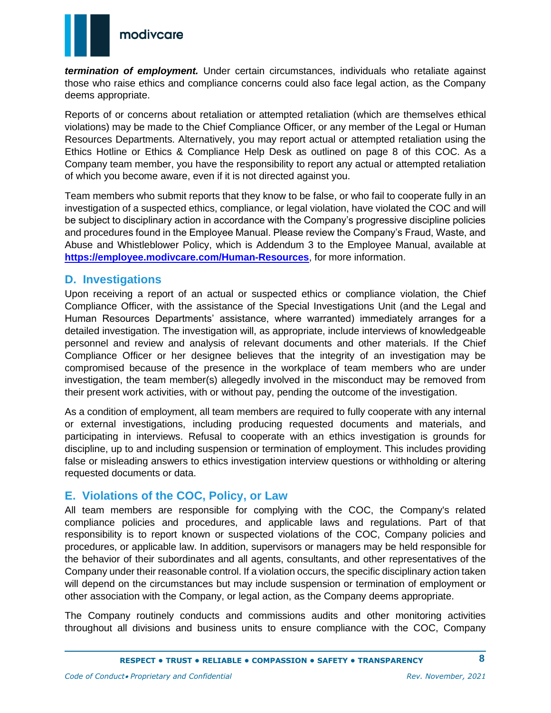

*termination of employment.* Under certain circumstances, individuals who retaliate against those who raise ethics and compliance concerns could also face legal action, as the Company deems appropriate.

Reports of or concerns about retaliation or attempted retaliation (which are themselves ethical violations) may be made to the Chief Compliance Officer, or any member of the Legal or Human Resources Departments. Alternatively, you may report actual or attempted retaliation using the Ethics Hotline or Ethics & Compliance Help Desk as outlined on page 8 of this COC. As a Company team member, you have the responsibility to report any actual or attempted retaliation of which you become aware, even if it is not directed against you.

Team members who submit reports that they know to be false, or who fail to cooperate fully in an investigation of a suspected ethics, compliance, or legal violation, have violated the COC and will be subject to disciplinary action in accordance with the Company's progressive discipline policies and procedures found in the Employee Manual. Please review the Company's Fraud, Waste, and Abuse and Whistleblower Policy, which is Addendum 3 to the Employee Manual, available at **[https://employee.modivcare.com/Human-Resources](https://employee.logisticare.com/Human-Resources)**, for more information.

### <span id="page-7-0"></span>**D. Investigations**

Upon receiving a report of an actual or suspected ethics or compliance violation, the Chief Compliance Officer, with the assistance of the Special Investigations Unit (and the Legal and Human Resources Departments' assistance, where warranted) immediately arranges for a detailed investigation. The investigation will, as appropriate, include interviews of knowledgeable personnel and review and analysis of relevant documents and other materials. If the Chief Compliance Officer or her designee believes that the integrity of an investigation may be compromised because of the presence in the workplace of team members who are under investigation, the team member(s) allegedly involved in the misconduct may be removed from their present work activities, with or without pay, pending the outcome of the investigation.

As a condition of employment, all team members are required to fully cooperate with any internal or external investigations, including producing requested documents and materials, and participating in interviews. Refusal to cooperate with an ethics investigation is grounds for discipline, up to and including suspension or termination of employment. This includes providing false or misleading answers to ethics investigation interview questions or withholding or altering requested documents or data.

## <span id="page-7-1"></span>**E. Violations of the COC, Policy, or Law**

All team members are responsible for complying with the COC, the Company's related compliance policies and procedures, and applicable laws and regulations. Part of that responsibility is to report known or suspected violations of the COC, Company policies and procedures, or applicable law. In addition, supervisors or managers may be held responsible for the behavior of their subordinates and all agents, consultants, and other representatives of the Company under their reasonable control. If a violation occurs, the specific disciplinary action taken will depend on the circumstances but may include suspension or termination of employment or other association with the Company, or legal action, as the Company deems appropriate.

The Company routinely conducts and commissions audits and other monitoring activities throughout all divisions and business units to ensure compliance with the COC, Company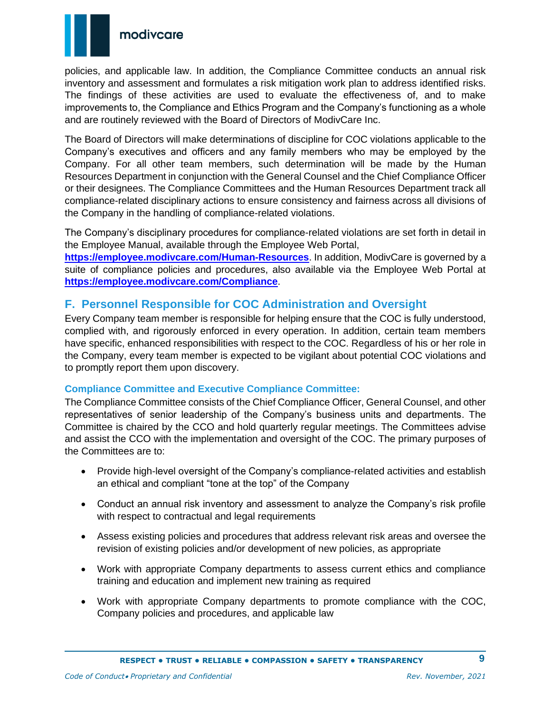

policies, and applicable law. In addition, the Compliance Committee conducts an annual risk inventory and assessment and formulates a risk mitigation work plan to address identified risks. The findings of these activities are used to evaluate the effectiveness of, and to make improvements to, the Compliance and Ethics Program and the Company's functioning as a whole and are routinely reviewed with the Board of Directors of ModivCare Inc.

The Board of Directors will make determinations of discipline for COC violations applicable to the Company's executives and officers and any family members who may be employed by the Company. For all other team members, such determination will be made by the Human Resources Department in conjunction with the General Counsel and the Chief Compliance Officer or their designees. The Compliance Committees and the Human Resources Department track all compliance-related disciplinary actions to ensure consistency and fairness across all divisions of the Company in the handling of compliance-related violations.

The Company's disciplinary procedures for compliance-related violations are set forth in detail in the Employee Manual, available through the Employee Web Portal,

**<https://employee.modivcare.com/Human-Resources>**. In addition, ModivCare is governed by a suite of compliance policies and procedures, also available via the Employee Web Portal at **<https://employee.modivcare.com/Compliance>**.

## <span id="page-8-0"></span>**F. Personnel Responsible for COC Administration and Oversight**

Every Company team member is responsible for helping ensure that the COC is fully understood, complied with, and rigorously enforced in every operation. In addition, certain team members have specific, enhanced responsibilities with respect to the COC. Regardless of his or her role in the Company, every team member is expected to be vigilant about potential COC violations and to promptly report them upon discovery.

### <span id="page-8-1"></span>**Compliance Committee and Executive Compliance Committee:**

The Compliance Committee consists of the Chief Compliance Officer, General Counsel, and other representatives of senior leadership of the Company's business units and departments. The Committee is chaired by the CCO and hold quarterly regular meetings. The Committees advise and assist the CCO with the implementation and oversight of the COC. The primary purposes of the Committees are to:

- Provide high-level oversight of the Company's compliance-related activities and establish an ethical and compliant "tone at the top" of the Company
- Conduct an annual risk inventory and assessment to analyze the Company's risk profile with respect to contractual and legal requirements
- Assess existing policies and procedures that address relevant risk areas and oversee the revision of existing policies and/or development of new policies, as appropriate
- Work with appropriate Company departments to assess current ethics and compliance training and education and implement new training as required
- Work with appropriate Company departments to promote compliance with the COC, Company policies and procedures, and applicable law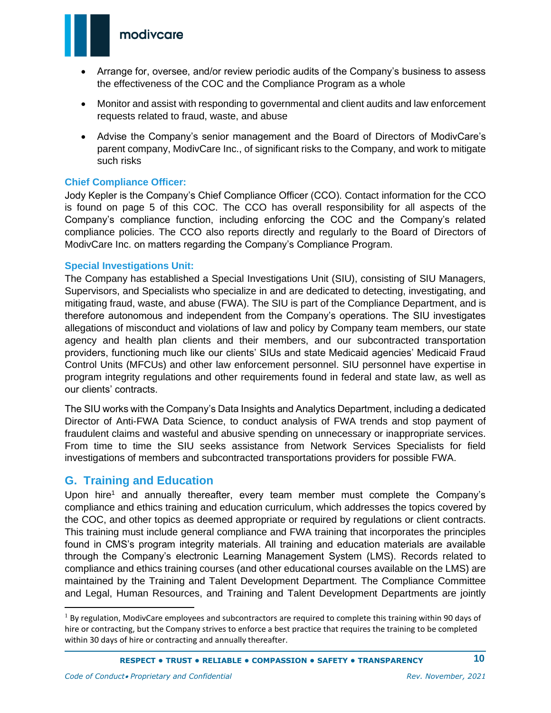### modivcare



- Arrange for, oversee, and/or review periodic audits of the Company's business to assess the effectiveness of the COC and the Compliance Program as a whole
- Monitor and assist with responding to governmental and client audits and law enforcement requests related to fraud, waste, and abuse
- Advise the Company's senior management and the Board of Directors of ModivCare's parent company, ModivCare Inc., of significant risks to the Company, and work to mitigate such risks

#### <span id="page-9-0"></span>**Chief Compliance Officer:**

Jody Kepler is the Company's Chief Compliance Officer (CCO). Contact information for the CCO is found on page 5 of this COC. The CCO has overall responsibility for all aspects of the Company's compliance function, including enforcing the COC and the Company's related compliance policies. The CCO also reports directly and regularly to the Board of Directors of ModivCare Inc. on matters regarding the Company's Compliance Program.

#### <span id="page-9-1"></span>**Special Investigations Unit:**

The Company has established a Special Investigations Unit (SIU), consisting of SIU Managers, Supervisors, and Specialists who specialize in and are dedicated to detecting, investigating, and mitigating fraud, waste, and abuse (FWA). The SIU is part of the Compliance Department, and is therefore autonomous and independent from the Company's operations. The SIU investigates allegations of misconduct and violations of law and policy by Company team members, our state agency and health plan clients and their members, and our subcontracted transportation providers, functioning much like our clients' SIUs and state Medicaid agencies' Medicaid Fraud Control Units (MFCUs) and other law enforcement personnel. SIU personnel have expertise in program integrity regulations and other requirements found in federal and state law, as well as our clients' contracts.

The SIU works with the Company's Data Insights and Analytics Department, including a dedicated Director of Anti-FWA Data Science, to conduct analysis of FWA trends and stop payment of fraudulent claims and wasteful and abusive spending on unnecessary or inappropriate services. From time to time the SIU seeks assistance from Network Services Specialists for field investigations of members and subcontracted transportations providers for possible FWA.

### <span id="page-9-2"></span>**G. Training and Education**

Upon hire<sup>1</sup> and annually thereafter, every team member must complete the Company's compliance and ethics training and education curriculum, which addresses the topics covered by the COC, and other topics as deemed appropriate or required by regulations or client contracts. This training must include general compliance and FWA training that incorporates the principles found in CMS's program integrity materials. All training and education materials are available through the Company's electronic Learning Management System (LMS). Records related to compliance and ethics training courses (and other educational courses available on the LMS) are maintained by the Training and Talent Development Department. The Compliance Committee and Legal, Human Resources, and Training and Talent Development Departments are jointly

 $1$  By regulation, ModivCare employees and subcontractors are required to complete this training within 90 days of hire or contracting, but the Company strives to enforce a best practice that requires the training to be completed within 30 days of hire or contracting and annually thereafter.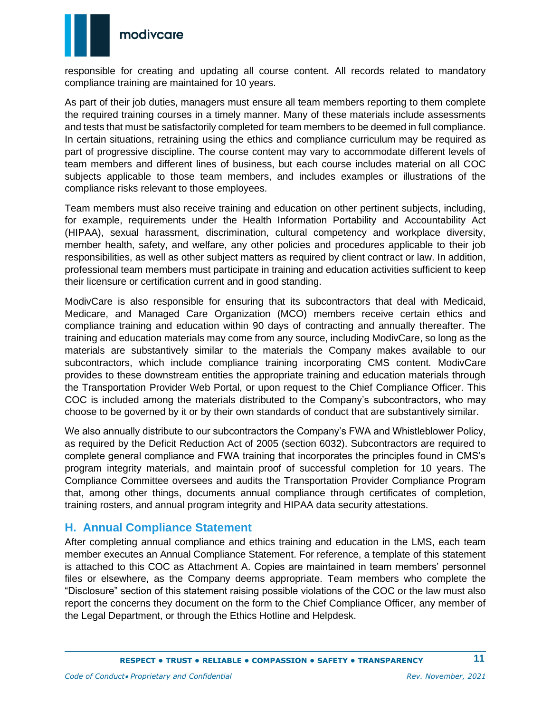

responsible for creating and updating all course content. All records related to mandatory compliance training are maintained for 10 years.

As part of their job duties, managers must ensure all team members reporting to them complete the required training courses in a timely manner. Many of these materials include assessments and tests that must be satisfactorily completed for team members to be deemed in full compliance. In certain situations, retraining using the ethics and compliance curriculum may be required as part of progressive discipline. The course content may vary to accommodate different levels of team members and different lines of business, but each course includes material on all COC subjects applicable to those team members, and includes examples or illustrations of the compliance risks relevant to those employees.

Team members must also receive training and education on other pertinent subjects, including, for example, requirements under the Health Information Portability and Accountability Act (HIPAA), sexual harassment, discrimination, cultural competency and workplace diversity, member health, safety, and welfare, any other policies and procedures applicable to their job responsibilities, as well as other subject matters as required by client contract or law. In addition, professional team members must participate in training and education activities sufficient to keep their licensure or certification current and in good standing.

ModivCare is also responsible for ensuring that its subcontractors that deal with Medicaid, Medicare, and Managed Care Organization (MCO) members receive certain ethics and compliance training and education within 90 days of contracting and annually thereafter. The training and education materials may come from any source, including ModivCare, so long as the materials are substantively similar to the materials the Company makes available to our subcontractors, which include compliance training incorporating CMS content. ModivCare provides to these downstream entities the appropriate training and education materials through the Transportation Provider Web Portal, or upon request to the Chief Compliance Officer. This COC is included among the materials distributed to the Company's subcontractors, who may choose to be governed by it or by their own standards of conduct that are substantively similar.

We also annually distribute to our subcontractors the Company's FWA and Whistleblower Policy, as required by the Deficit Reduction Act of 2005 (section 6032). Subcontractors are required to complete general compliance and FWA training that incorporates the principles found in CMS's program integrity materials, and maintain proof of successful completion for 10 years. The Compliance Committee oversees and audits the Transportation Provider Compliance Program that, among other things, documents annual compliance through certificates of completion, training rosters, and annual program integrity and HIPAA data security attestations.

### <span id="page-10-0"></span>**H. Annual Compliance Statement**

After completing annual compliance and ethics training and education in the LMS, each team member executes an Annual Compliance Statement. For reference, a template of this statement is attached to this COC as Attachment A. Copies are maintained in team members' personnel files or elsewhere, as the Company deems appropriate. Team members who complete the "Disclosure" section of this statement raising possible violations of the COC or the law must also report the concerns they document on the form to the Chief Compliance Officer, any member of the Legal Department, or through the Ethics Hotline and Helpdesk.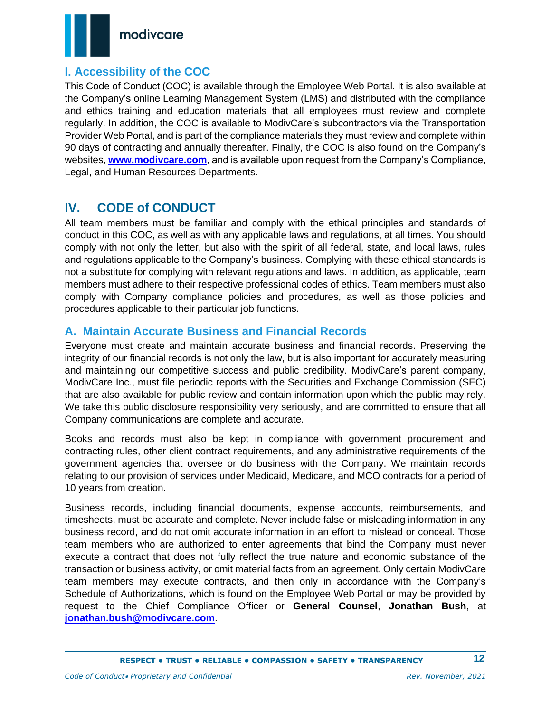

### <span id="page-11-0"></span>**I. Accessibility of the COC**

This Code of Conduct (COC) is available through the Employee Web Portal. It is also available at the Company's online Learning Management System (LMS) and distributed with the compliance and ethics training and education materials that all employees must review and complete regularly. In addition, the COC is available to ModivCare's subcontractors via the Transportation Provider Web Portal, and is part of the compliance materials they must review and complete within 90 days of contracting and annually thereafter. Finally, the COC is also found on the Company's websites, **[www.modivcare.com](http://www.modivcare.com/)**, and is available upon request from the Company's Compliance, Legal, and Human Resources Departments.

## <span id="page-11-1"></span>**IV. CODE of CONDUCT**

All team members must be familiar and comply with the ethical principles and standards of conduct in this COC, as well as with any applicable laws and regulations, at all times. You should comply with not only the letter, but also with the spirit of all federal, state, and local laws, rules and regulations applicable to the Company's business. Complying with these ethical standards is not a substitute for complying with relevant regulations and laws. In addition, as applicable, team members must adhere to their respective professional codes of ethics. Team members must also comply with Company compliance policies and procedures, as well as those policies and procedures applicable to their particular job functions.

### <span id="page-11-2"></span>**A. Maintain Accurate Business and Financial Records**

Everyone must create and maintain accurate business and financial records. Preserving the integrity of our financial records is not only the law, but is also important for accurately measuring and maintaining our competitive success and public credibility. ModivCare's parent company, ModivCare Inc., must file periodic reports with the Securities and Exchange Commission (SEC) that are also available for public review and contain information upon which the public may rely. We take this public disclosure responsibility very seriously, and are committed to ensure that all Company communications are complete and accurate.

Books and records must also be kept in compliance with government procurement and contracting rules, other client contract requirements, and any administrative requirements of the government agencies that oversee or do business with the Company. We maintain records relating to our provision of services under Medicaid, Medicare, and MCO contracts for a period of 10 years from creation.

Business records, including financial documents, expense accounts, reimbursements, and timesheets, must be accurate and complete. Never include false or misleading information in any business record, and do not omit accurate information in an effort to mislead or conceal. Those team members who are authorized to enter agreements that bind the Company must never execute a contract that does not fully reflect the true nature and economic substance of the transaction or business activity, or omit material facts from an agreement. Only certain ModivCare team members may execute contracts, and then only in accordance with the Company's Schedule of Authorizations, which is found on the Employee Web Portal or may be provided by request to the Chief Compliance Officer or **General Counsel**, **Jonathan Bush**, at **[jonathan.bush@modivcare.com](mailto:jonathan.bush@modivcare.com)**.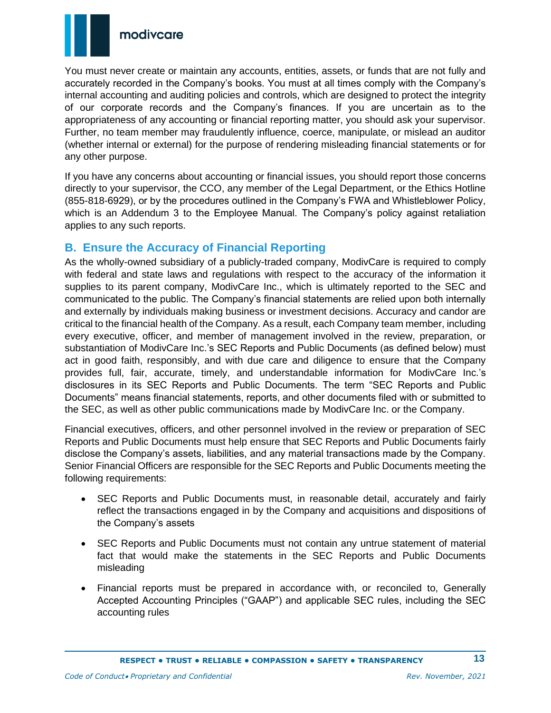

You must never create or maintain any accounts, entities, assets, or funds that are not fully and accurately recorded in the Company's books. You must at all times comply with the Company's internal accounting and auditing policies and controls, which are designed to protect the integrity of our corporate records and the Company's finances. If you are uncertain as to the appropriateness of any accounting or financial reporting matter, you should ask your supervisor. Further, no team member may fraudulently influence, coerce, manipulate, or mislead an auditor (whether internal or external) for the purpose of rendering misleading financial statements or for any other purpose.

If you have any concerns about accounting or financial issues, you should report those concerns directly to your supervisor, the CCO, any member of the Legal Department, or the Ethics Hotline (855-818-6929), or by the procedures outlined in the Company's FWA and Whistleblower Policy, which is an Addendum 3 to the Employee Manual. The Company's policy against retaliation applies to any such reports.

### <span id="page-12-0"></span>**B. Ensure the Accuracy of Financial Reporting**

As the wholly-owned subsidiary of a publicly-traded company, ModivCare is required to comply with federal and state laws and regulations with respect to the accuracy of the information it supplies to its parent company, ModivCare Inc., which is ultimately reported to the SEC and communicated to the public. The Company's financial statements are relied upon both internally and externally by individuals making business or investment decisions. Accuracy and candor are critical to the financial health of the Company. As a result, each Company team member, including every executive, officer, and member of management involved in the review, preparation, or substantiation of ModivCare Inc.'s SEC Reports and Public Documents (as defined below) must act in good faith, responsibly, and with due care and diligence to ensure that the Company provides full, fair, accurate, timely, and understandable information for ModivCare Inc.'s disclosures in its SEC Reports and Public Documents. The term "SEC Reports and Public Documents" means financial statements, reports, and other documents filed with or submitted to the SEC, as well as other public communications made by ModivCare Inc. or the Company.

Financial executives, officers, and other personnel involved in the review or preparation of SEC Reports and Public Documents must help ensure that SEC Reports and Public Documents fairly disclose the Company's assets, liabilities, and any material transactions made by the Company. Senior Financial Officers are responsible for the SEC Reports and Public Documents meeting the following requirements:

- SEC Reports and Public Documents must, in reasonable detail, accurately and fairly reflect the transactions engaged in by the Company and acquisitions and dispositions of the Company's assets
- SEC Reports and Public Documents must not contain any untrue statement of material fact that would make the statements in the SEC Reports and Public Documents misleading
- Financial reports must be prepared in accordance with, or reconciled to, Generally Accepted Accounting Principles ("GAAP") and applicable SEC rules, including the SEC accounting rules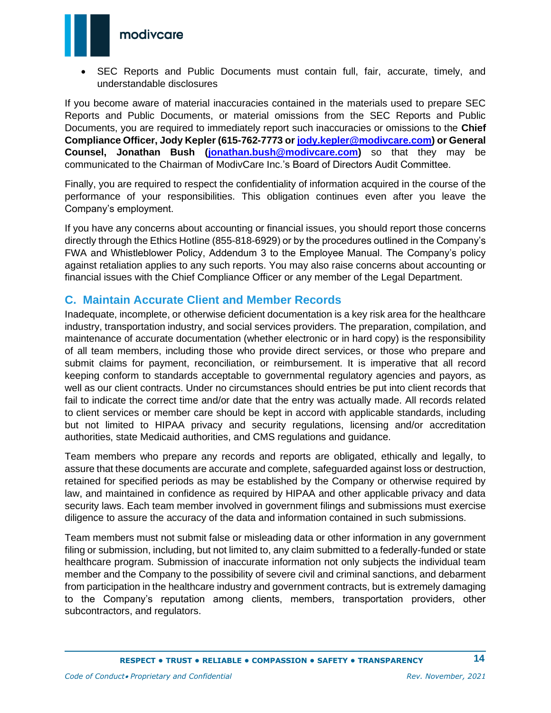

• SEC Reports and Public Documents must contain full, fair, accurate, timely, and understandable disclosures

If you become aware of material inaccuracies contained in the materials used to prepare SEC Reports and Public Documents, or material omissions from the SEC Reports and Public Documents, you are required to immediately report such inaccuracies or omissions to the **Chief Compliance Officer, Jody Kepler (615-762-7773 or [jody.kepler@modivcare.com\)](mailto:jody.kepler@logisticare.com) or General Counsel, Jonathan Bush [\(jonathan.bush@modivcare.com\)](mailto:jonathan.bush@modivcare.com)** so that they may be communicated to the Chairman of ModivCare Inc.'s Board of Directors Audit Committee.

Finally, you are required to respect the confidentiality of information acquired in the course of the performance of your responsibilities. This obligation continues even after you leave the Company's employment.

If you have any concerns about accounting or financial issues, you should report those concerns directly through the Ethics Hotline (855-818-6929) or by the procedures outlined in the Company's FWA and Whistleblower Policy, Addendum 3 to the Employee Manual. The Company's policy against retaliation applies to any such reports. You may also raise concerns about accounting or financial issues with the Chief Compliance Officer or any member of the Legal Department.

### <span id="page-13-0"></span>**C. Maintain Accurate Client and Member Records**

Inadequate, incomplete, or otherwise deficient documentation is a key risk area for the healthcare industry, transportation industry, and social services providers. The preparation, compilation, and maintenance of accurate documentation (whether electronic or in hard copy) is the responsibility of all team members, including those who provide direct services, or those who prepare and submit claims for payment, reconciliation, or reimbursement. It is imperative that all record keeping conform to standards acceptable to governmental regulatory agencies and payors, as well as our client contracts. Under no circumstances should entries be put into client records that fail to indicate the correct time and/or date that the entry was actually made. All records related to client services or member care should be kept in accord with applicable standards, including but not limited to HIPAA privacy and security regulations, licensing and/or accreditation authorities, state Medicaid authorities, and CMS regulations and guidance.

Team members who prepare any records and reports are obligated, ethically and legally, to assure that these documents are accurate and complete, safeguarded against loss or destruction, retained for specified periods as may be established by the Company or otherwise required by law, and maintained in confidence as required by HIPAA and other applicable privacy and data security laws. Each team member involved in government filings and submissions must exercise diligence to assure the accuracy of the data and information contained in such submissions.

Team members must not submit false or misleading data or other information in any government filing or submission, including, but not limited to, any claim submitted to a federally-funded or state healthcare program. Submission of inaccurate information not only subjects the individual team member and the Company to the possibility of severe civil and criminal sanctions, and debarment from participation in the healthcare industry and government contracts, but is extremely damaging to the Company's reputation among clients, members, transportation providers, other subcontractors, and regulators.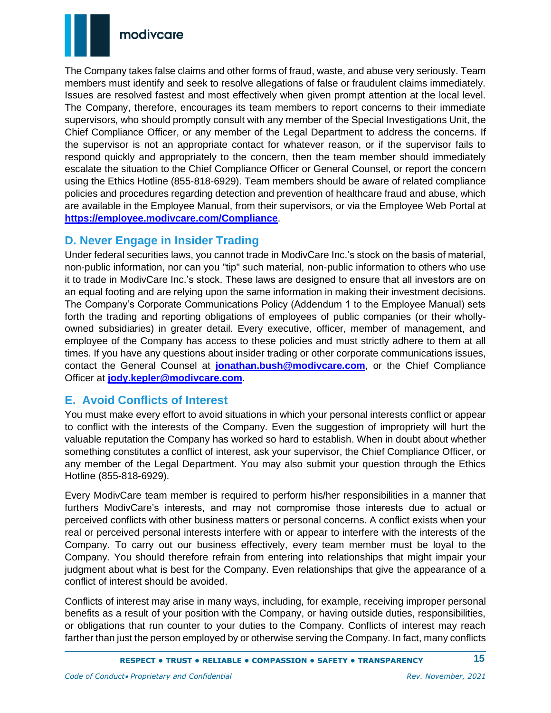

The Company takes false claims and other forms of fraud, waste, and abuse very seriously. Team members must identify and seek to resolve allegations of false or fraudulent claims immediately. Issues are resolved fastest and most effectively when given prompt attention at the local level. The Company, therefore, encourages its team members to report concerns to their immediate supervisors, who should promptly consult with any member of the Special Investigations Unit, the Chief Compliance Officer, or any member of the Legal Department to address the concerns. If the supervisor is not an appropriate contact for whatever reason, or if the supervisor fails to respond quickly and appropriately to the concern, then the team member should immediately escalate the situation to the Chief Compliance Officer or General Counsel, or report the concern using the Ethics Hotline (855-818-6929). Team members should be aware of related compliance policies and procedures regarding detection and prevention of healthcare fraud and abuse, which are available in the Employee Manual, from their supervisors, or via the Employee Web Portal at **<https://employee.modivcare.com/Compliance>**.

### <span id="page-14-0"></span>**D. Never Engage in Insider Trading**

Under federal securities laws, you cannot trade in ModivCare Inc.'s stock on the basis of material, non-public information, nor can you "tip" such material, non-public information to others who use it to trade in ModivCare Inc.'s stock. These laws are designed to ensure that all investors are on an equal footing and are relying upon the same information in making their investment decisions. The Company's Corporate Communications Policy (Addendum 1 to the Employee Manual) sets forth the trading and reporting obligations of employees of public companies (or their whollyowned subsidiaries) in greater detail. Every executive, officer, member of management, and employee of the Company has access to these policies and must strictly adhere to them at all times. If you have any questions about insider trading or other corporate communications issues, contact the General Counsel at **[jonathan.bush@modivcare.com](mailto:jonathan.bush@modivcare.com)**, or the Chief Compliance Officer at **[jody.kepler@modivcare.com](mailto:jody.kepler@modivcare.com)**.

## <span id="page-14-1"></span>**E. Avoid Conflicts of Interest**

You must make every effort to avoid situations in which your personal interests conflict or appear to conflict with the interests of the Company. Even the suggestion of impropriety will hurt the valuable reputation the Company has worked so hard to establish. When in doubt about whether something constitutes a conflict of interest, ask your supervisor, the Chief Compliance Officer, or any member of the Legal Department. You may also submit your question through the Ethics Hotline (855-818-6929).

Every ModivCare team member is required to perform his/her responsibilities in a manner that furthers ModivCare's interests, and may not compromise those interests due to actual or perceived conflicts with other business matters or personal concerns. A conflict exists when your real or perceived personal interests interfere with or appear to interfere with the interests of the Company. To carry out our business effectively, every team member must be loyal to the Company. You should therefore refrain from entering into relationships that might impair your judgment about what is best for the Company. Even relationships that give the appearance of a conflict of interest should be avoided.

Conflicts of interest may arise in many ways, including, for example, receiving improper personal benefits as a result of your position with the Company, or having outside duties, responsibilities, or obligations that run counter to your duties to the Company. Conflicts of interest may reach farther than just the person employed by or otherwise serving the Company. In fact, many conflicts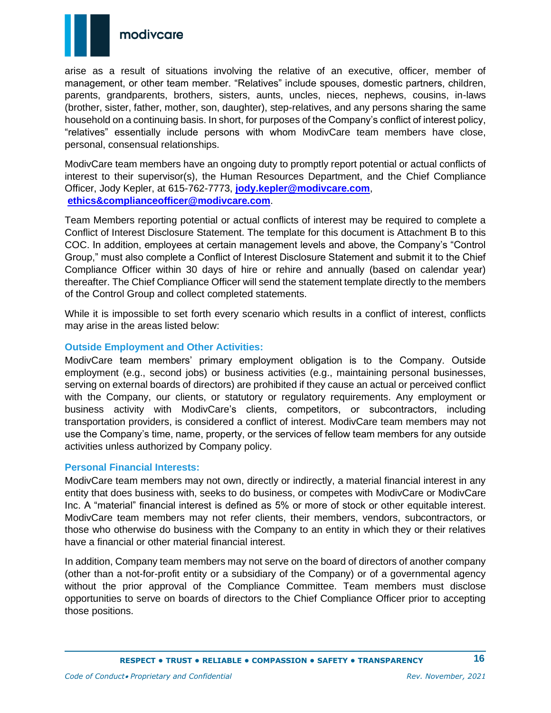

arise as a result of situations involving the relative of an executive, officer, member of management, or other team member. "Relatives" include spouses, domestic partners, children, parents, grandparents, brothers, sisters, aunts, uncles, nieces, nephews, cousins, in-laws (brother, sister, father, mother, son, daughter), step-relatives, and any persons sharing the same household on a continuing basis. In short, for purposes of the Company's conflict of interest policy, "relatives" essentially include persons with whom ModivCare team members have close, personal, consensual relationships.

ModivCare team members have an ongoing duty to promptly report potential or actual conflicts of interest to their supervisor(s), the Human Resources Department, and the Chief Compliance Officer, Jody Kepler, at 615-762-7773, **[jody.kepler@modivcare.com](mailto:jody.kepler@modivcare.com)**, **[ethics&complianceofficer@modivcare.com](mailto:ethics&complianceofficer@modivcare.com)**.

Team Members reporting potential or actual conflicts of interest may be required to complete a Conflict of Interest Disclosure Statement. The template for this document is Attachment B to this COC. In addition, employees at certain management levels and above, the Company's "Control Group," must also complete a Conflict of Interest Disclosure Statement and submit it to the Chief Compliance Officer within 30 days of hire or rehire and annually (based on calendar year) thereafter. The Chief Compliance Officer will send the statement template directly to the members of the Control Group and collect completed statements.

While it is impossible to set forth every scenario which results in a conflict of interest, conflicts may arise in the areas listed below:

#### <span id="page-15-0"></span>**Outside Employment and Other Activities:**

ModivCare team members' primary employment obligation is to the Company. Outside employment (e.g., second jobs) or business activities (e.g., maintaining personal businesses, serving on external boards of directors) are prohibited if they cause an actual or perceived conflict with the Company, our clients, or statutory or regulatory requirements. Any employment or business activity with ModivCare's clients, competitors, or subcontractors, including transportation providers, is considered a conflict of interest. ModivCare team members may not use the Company's time, name, property, or the services of fellow team members for any outside activities unless authorized by Company policy.

#### <span id="page-15-1"></span>**Personal Financial Interests:**

ModivCare team members may not own, directly or indirectly, a material financial interest in any entity that does business with, seeks to do business, or competes with ModivCare or ModivCare Inc. A "material" financial interest is defined as 5% or more of stock or other equitable interest. ModivCare team members may not refer clients, their members, vendors, subcontractors, or those who otherwise do business with the Company to an entity in which they or their relatives have a financial or other material financial interest.

In addition, Company team members may not serve on the board of directors of another company (other than a not-for-profit entity or a subsidiary of the Company) or of a governmental agency without the prior approval of the Compliance Committee. Team members must disclose opportunities to serve on boards of directors to the Chief Compliance Officer prior to accepting those positions.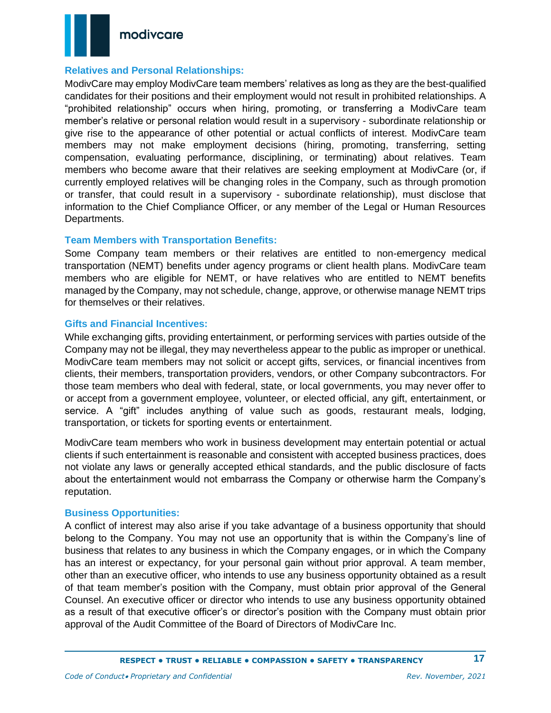

#### <span id="page-16-0"></span>**Relatives and Personal Relationships:**

ModivCare may employ ModivCare team members' relatives as long as they are the best-qualified candidates for their positions and their employment would not result in prohibited relationships. A "prohibited relationship" occurs when hiring, promoting, or transferring a ModivCare team member's relative or personal relation would result in a supervisory - subordinate relationship or give rise to the appearance of other potential or actual conflicts of interest. ModivCare team members may not make employment decisions (hiring, promoting, transferring, setting compensation, evaluating performance, disciplining, or terminating) about relatives. Team members who become aware that their relatives are seeking employment at ModivCare (or, if currently employed relatives will be changing roles in the Company, such as through promotion or transfer, that could result in a supervisory - subordinate relationship), must disclose that information to the Chief Compliance Officer, or any member of the Legal or Human Resources Departments.

#### <span id="page-16-1"></span>**Team Members with Transportation Benefits:**

Some Company team members or their relatives are entitled to non-emergency medical transportation (NEMT) benefits under agency programs or client health plans. ModivCare team members who are eligible for NEMT, or have relatives who are entitled to NEMT benefits managed by the Company, may not schedule, change, approve, or otherwise manage NEMT trips for themselves or their relatives.

#### <span id="page-16-2"></span>**Gifts and Financial Incentives:**

While exchanging gifts, providing entertainment, or performing services with parties outside of the Company may not be illegal, they may nevertheless appear to the public as improper or unethical. ModivCare team members may not solicit or accept gifts, services, or financial incentives from clients, their members, transportation providers, vendors, or other Company subcontractors. For those team members who deal with federal, state, or local governments, you may never offer to or accept from a government employee, volunteer, or elected official, any gift, entertainment, or service. A "gift" includes anything of value such as goods, restaurant meals, lodging, transportation, or tickets for sporting events or entertainment.

ModivCare team members who work in business development may entertain potential or actual clients if such entertainment is reasonable and consistent with accepted business practices, does not violate any laws or generally accepted ethical standards, and the public disclosure of facts about the entertainment would not embarrass the Company or otherwise harm the Company's reputation.

#### <span id="page-16-3"></span>**Business Opportunities:**

A conflict of interest may also arise if you take advantage of a business opportunity that should belong to the Company. You may not use an opportunity that is within the Company's line of business that relates to any business in which the Company engages, or in which the Company has an interest or expectancy, for your personal gain without prior approval. A team member, other than an executive officer, who intends to use any business opportunity obtained as a result of that team member's position with the Company, must obtain prior approval of the General Counsel. An executive officer or director who intends to use any business opportunity obtained as a result of that executive officer's or director's position with the Company must obtain prior approval of the Audit Committee of the Board of Directors of ModivCare Inc.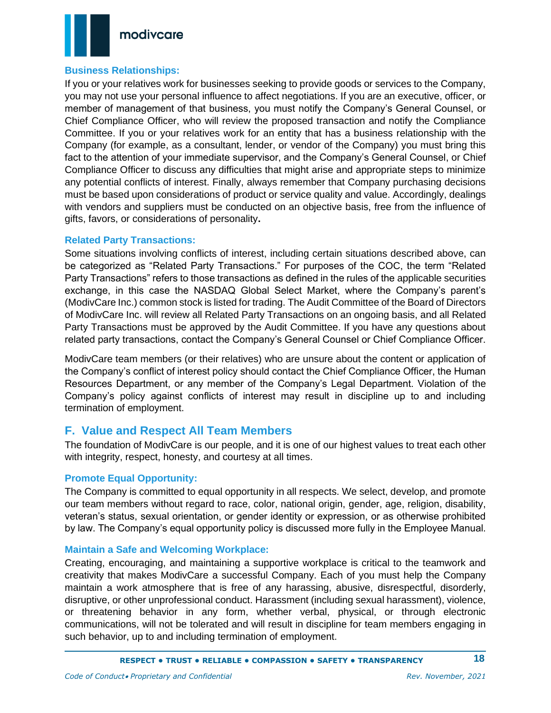

#### <span id="page-17-0"></span>**Business Relationships:**

If you or your relatives work for businesses seeking to provide goods or services to the Company, you may not use your personal influence to affect negotiations. If you are an executive, officer, or member of management of that business, you must notify the Company's General Counsel, or Chief Compliance Officer, who will review the proposed transaction and notify the Compliance Committee. If you or your relatives work for an entity that has a business relationship with the Company (for example, as a consultant, lender, or vendor of the Company) you must bring this fact to the attention of your immediate supervisor, and the Company's General Counsel, or Chief Compliance Officer to discuss any difficulties that might arise and appropriate steps to minimize any potential conflicts of interest. Finally, always remember that Company purchasing decisions must be based upon considerations of product or service quality and value. Accordingly, dealings with vendors and suppliers must be conducted on an objective basis, free from the influence of gifts, favors, or considerations of personality**.** 

#### <span id="page-17-1"></span>**Related Party Transactions:**

Some situations involving conflicts of interest, including certain situations described above, can be categorized as "Related Party Transactions." For purposes of the COC, the term "Related Party Transactions" refers to those transactions as defined in the rules of the applicable securities exchange, in this case the NASDAQ Global Select Market, where the Company's parent's (ModivCare Inc.) common stock is listed for trading. The Audit Committee of the Board of Directors of ModivCare Inc. will review all Related Party Transactions on an ongoing basis, and all Related Party Transactions must be approved by the Audit Committee. If you have any questions about related party transactions, contact the Company's General Counsel or Chief Compliance Officer.

ModivCare team members (or their relatives) who are unsure about the content or application of the Company's conflict of interest policy should contact the Chief Compliance Officer, the Human Resources Department, or any member of the Company's Legal Department. Violation of the Company's policy against conflicts of interest may result in discipline up to and including termination of employment.

### <span id="page-17-2"></span>**F. Value and Respect All Team Members**

The foundation of ModivCare is our people, and it is one of our highest values to treat each other with integrity, respect, honesty, and courtesy at all times.

#### <span id="page-17-3"></span>**Promote Equal Opportunity:**

The Company is committed to equal opportunity in all respects. We select, develop, and promote our team members without regard to race, color, national origin, gender, age, religion, disability, veteran's status, sexual orientation, or gender identity or expression, or as otherwise prohibited by law. The Company's equal opportunity policy is discussed more fully in the Employee Manual.

#### <span id="page-17-4"></span>**Maintain a Safe and Welcoming Workplace:**

Creating, encouraging, and maintaining a supportive workplace is critical to the teamwork and creativity that makes ModivCare a successful Company. Each of you must help the Company maintain a work atmosphere that is free of any harassing, abusive, disrespectful, disorderly, disruptive, or other unprofessional conduct. Harassment (including sexual harassment), violence, or threatening behavior in any form, whether verbal, physical, or through electronic communications, will not be tolerated and will result in discipline for team members engaging in such behavior, up to and including termination of employment.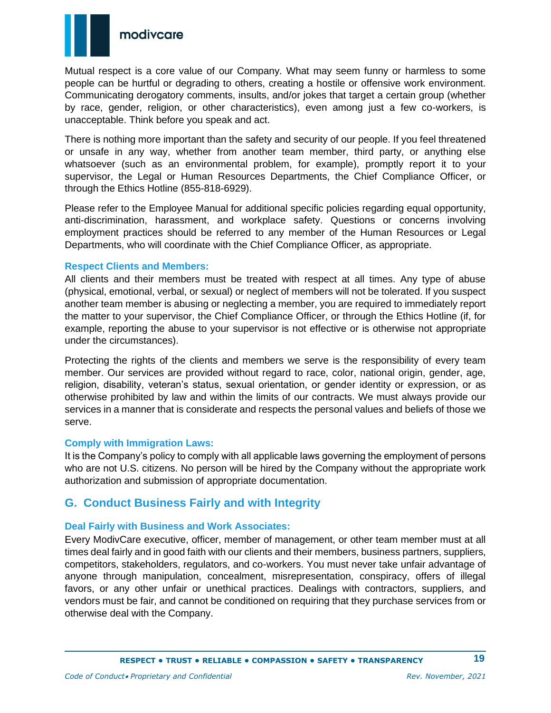

Mutual respect is a core value of our Company. What may seem funny or harmless to some people can be hurtful or degrading to others, creating a hostile or offensive work environment. Communicating derogatory comments, insults, and/or jokes that target a certain group (whether by race, gender, religion, or other characteristics), even among just a few co-workers, is unacceptable. Think before you speak and act.

There is nothing more important than the safety and security of our people. If you feel threatened or unsafe in any way, whether from another team member, third party, or anything else whatsoever (such as an environmental problem, for example), promptly report it to your supervisor, the Legal or Human Resources Departments, the Chief Compliance Officer, or through the Ethics Hotline (855-818-6929).

Please refer to the Employee Manual for additional specific policies regarding equal opportunity, anti-discrimination, harassment, and workplace safety. Questions or concerns involving employment practices should be referred to any member of the Human Resources or Legal Departments, who will coordinate with the Chief Compliance Officer, as appropriate.

#### <span id="page-18-0"></span>**Respect Clients and Members:**

All clients and their members must be treated with respect at all times. Any type of abuse (physical, emotional, verbal, or sexual) or neglect of members will not be tolerated. If you suspect another team member is abusing or neglecting a member, you are required to immediately report the matter to your supervisor, the Chief Compliance Officer, or through the Ethics Hotline (if, for example, reporting the abuse to your supervisor is not effective or is otherwise not appropriate under the circumstances).

Protecting the rights of the clients and members we serve is the responsibility of every team member. Our services are provided without regard to race, color, national origin, gender, age, religion, disability, veteran's status, sexual orientation, or gender identity or expression, or as otherwise prohibited by law and within the limits of our contracts. We must always provide our services in a manner that is considerate and respects the personal values and beliefs of those we serve.

#### <span id="page-18-1"></span>**Comply with Immigration Laws:**

It is the Company's policy to comply with all applicable laws governing the employment of persons who are not U.S. citizens. No person will be hired by the Company without the appropriate work authorization and submission of appropriate documentation.

### <span id="page-18-2"></span>**G. Conduct Business Fairly and with Integrity**

#### <span id="page-18-3"></span>**Deal Fairly with Business and Work Associates:**

Every ModivCare executive, officer, member of management, or other team member must at all times deal fairly and in good faith with our clients and their members, business partners, suppliers, competitors, stakeholders, regulators, and co-workers. You must never take unfair advantage of anyone through manipulation, concealment, misrepresentation, conspiracy, offers of illegal favors, or any other unfair or unethical practices. Dealings with contractors, suppliers, and vendors must be fair, and cannot be conditioned on requiring that they purchase services from or otherwise deal with the Company.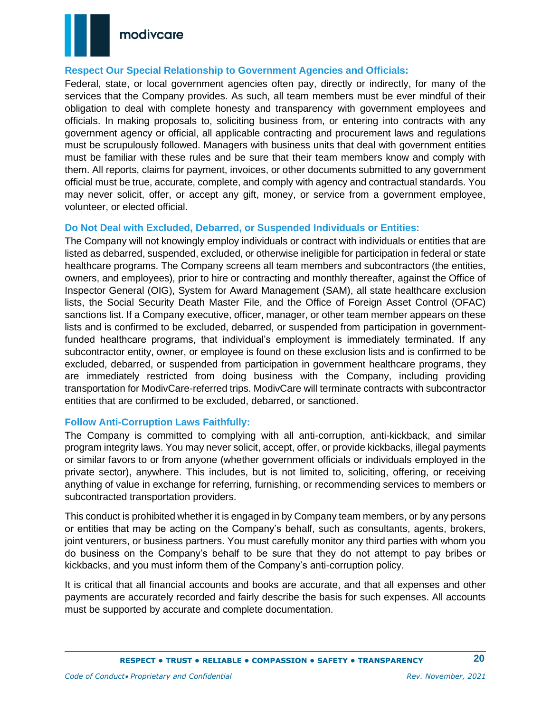

#### <span id="page-19-0"></span>**Respect Our Special Relationship to Government Agencies and Officials:**

Federal, state, or local government agencies often pay, directly or indirectly, for many of the services that the Company provides. As such, all team members must be ever mindful of their obligation to deal with complete honesty and transparency with government employees and officials. In making proposals to, soliciting business from, or entering into contracts with any government agency or official, all applicable contracting and procurement laws and regulations must be scrupulously followed. Managers with business units that deal with government entities must be familiar with these rules and be sure that their team members know and comply with them. All reports, claims for payment, invoices, or other documents submitted to any government official must be true, accurate, complete, and comply with agency and contractual standards. You may never solicit, offer, or accept any gift, money, or service from a government employee, volunteer, or elected official.

#### <span id="page-19-1"></span>**Do Not Deal with Excluded, Debarred, or Suspended Individuals or Entities:**

The Company will not knowingly employ individuals or contract with individuals or entities that are listed as debarred, suspended, excluded, or otherwise ineligible for participation in federal or state healthcare programs. The Company screens all team members and subcontractors (the entities, owners, and employees), prior to hire or contracting and monthly thereafter, against the Office of Inspector General (OIG), System for Award Management (SAM), all state healthcare exclusion lists, the Social Security Death Master File, and the Office of Foreign Asset Control (OFAC) sanctions list. If a Company executive, officer, manager, or other team member appears on these lists and is confirmed to be excluded, debarred, or suspended from participation in governmentfunded healthcare programs, that individual's employment is immediately terminated. If any subcontractor entity, owner, or employee is found on these exclusion lists and is confirmed to be excluded, debarred, or suspended from participation in government healthcare programs, they are immediately restricted from doing business with the Company, including providing transportation for ModivCare-referred trips. ModivCare will terminate contracts with subcontractor entities that are confirmed to be excluded, debarred, or sanctioned.

#### <span id="page-19-2"></span>**Follow Anti-Corruption Laws Faithfully:**

The Company is committed to complying with all anti-corruption, anti-kickback, and similar program integrity laws. You may never solicit, accept, offer, or provide kickbacks, illegal payments or similar favors to or from anyone (whether government officials or individuals employed in the private sector), anywhere. This includes, but is not limited to, soliciting, offering, or receiving anything of value in exchange for referring, furnishing, or recommending services to members or subcontracted transportation providers.

This conduct is prohibited whether it is engaged in by Company team members, or by any persons or entities that may be acting on the Company's behalf, such as consultants, agents, brokers, joint venturers, or business partners. You must carefully monitor any third parties with whom you do business on the Company's behalf to be sure that they do not attempt to pay bribes or kickbacks, and you must inform them of the Company's anti-corruption policy.

It is critical that all financial accounts and books are accurate, and that all expenses and other payments are accurately recorded and fairly describe the basis for such expenses. All accounts must be supported by accurate and complete documentation.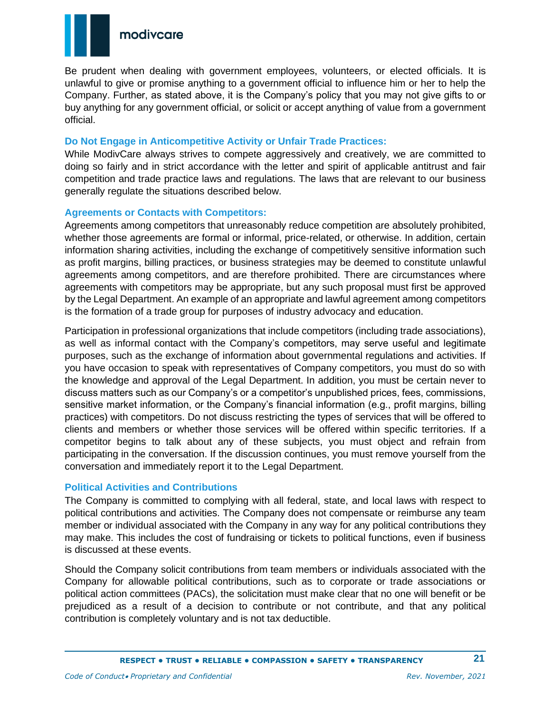

Be prudent when dealing with government employees, volunteers, or elected officials. It is unlawful to give or promise anything to a government official to influence him or her to help the Company. Further, as stated above, it is the Company's policy that you may not give gifts to or buy anything for any government official, or solicit or accept anything of value from a government official.

#### <span id="page-20-0"></span>**Do Not Engage in Anticompetitive Activity or Unfair Trade Practices:**

While ModivCare always strives to compete aggressively and creatively, we are committed to doing so fairly and in strict accordance with the letter and spirit of applicable antitrust and fair competition and trade practice laws and regulations. The laws that are relevant to our business generally regulate the situations described below.

#### <span id="page-20-1"></span>**Agreements or Contacts with Competitors:**

Agreements among competitors that unreasonably reduce competition are absolutely prohibited, whether those agreements are formal or informal, price-related, or otherwise. In addition, certain information sharing activities, including the exchange of competitively sensitive information such as profit margins, billing practices, or business strategies may be deemed to constitute unlawful agreements among competitors, and are therefore prohibited. There are circumstances where agreements with competitors may be appropriate, but any such proposal must first be approved by the Legal Department. An example of an appropriate and lawful agreement among competitors is the formation of a trade group for purposes of industry advocacy and education.

Participation in professional organizations that include competitors (including trade associations), as well as informal contact with the Company's competitors, may serve useful and legitimate purposes, such as the exchange of information about governmental regulations and activities. If you have occasion to speak with representatives of Company competitors, you must do so with the knowledge and approval of the Legal Department. In addition, you must be certain never to discuss matters such as our Company's or a competitor's unpublished prices, fees, commissions, sensitive market information, or the Company's financial information (e.g., profit margins, billing practices) with competitors. Do not discuss restricting the types of services that will be offered to clients and members or whether those services will be offered within specific territories. If a competitor begins to talk about any of these subjects, you must object and refrain from participating in the conversation. If the discussion continues, you must remove yourself from the conversation and immediately report it to the Legal Department.

#### <span id="page-20-2"></span>**Political Activities and Contributions**

The Company is committed to complying with all federal, state, and local laws with respect to political contributions and activities. The Company does not compensate or reimburse any team member or individual associated with the Company in any way for any political contributions they may make. This includes the cost of fundraising or tickets to political functions, even if business is discussed at these events.

Should the Company solicit contributions from team members or individuals associated with the Company for allowable political contributions, such as to corporate or trade associations or political action committees (PACs), the solicitation must make clear that no one will benefit or be prejudiced as a result of a decision to contribute or not contribute, and that any political contribution is completely voluntary and is not tax deductible.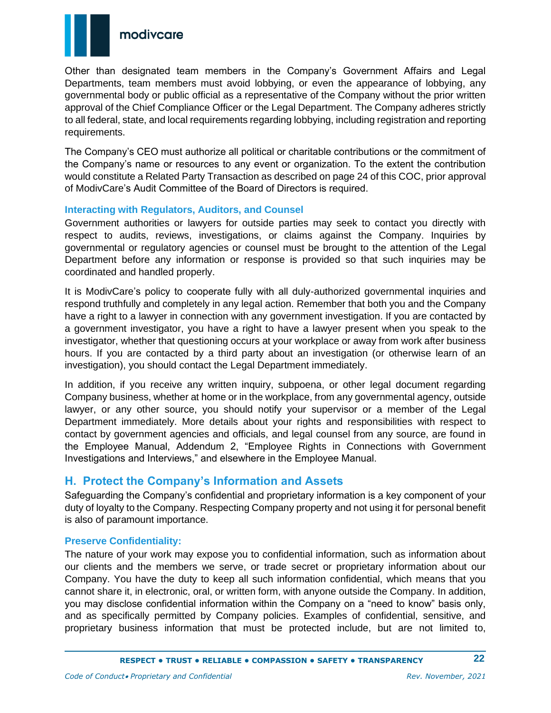

Other than designated team members in the Company's Government Affairs and Legal Departments, team members must avoid lobbying, or even the appearance of lobbying, any governmental body or public official as a representative of the Company without the prior written approval of the Chief Compliance Officer or the Legal Department. The Company adheres strictly to all federal, state, and local requirements regarding lobbying, including registration and reporting requirements.

The Company's CEO must authorize all political or charitable contributions or the commitment of the Company's name or resources to any event or organization. To the extent the contribution would constitute a Related Party Transaction as described on page 24 of this COC, prior approval of ModivCare's Audit Committee of the Board of Directors is required.

#### <span id="page-21-0"></span>**Interacting with Regulators, Auditors, and Counsel**

Government authorities or lawyers for outside parties may seek to contact you directly with respect to audits, reviews, investigations, or claims against the Company. Inquiries by governmental or regulatory agencies or counsel must be brought to the attention of the Legal Department before any information or response is provided so that such inquiries may be coordinated and handled properly.

It is ModivCare's policy to cooperate fully with all duly-authorized governmental inquiries and respond truthfully and completely in any legal action. Remember that both you and the Company have a right to a lawyer in connection with any government investigation. If you are contacted by a government investigator, you have a right to have a lawyer present when you speak to the investigator, whether that questioning occurs at your workplace or away from work after business hours. If you are contacted by a third party about an investigation (or otherwise learn of an investigation), you should contact the Legal Department immediately.

In addition, if you receive any written inquiry, subpoena, or other legal document regarding Company business, whether at home or in the workplace, from any governmental agency, outside lawyer, or any other source, you should notify your supervisor or a member of the Legal Department immediately. More details about your rights and responsibilities with respect to contact by government agencies and officials, and legal counsel from any source, are found in the Employee Manual, Addendum 2, "Employee Rights in Connections with Government Investigations and Interviews," and elsewhere in the Employee Manual.

### <span id="page-21-1"></span>**H. Protect the Company's Information and Assets**

Safeguarding the Company's confidential and proprietary information is a key component of your duty of loyalty to the Company. Respecting Company property and not using it for personal benefit is also of paramount importance.

#### <span id="page-21-2"></span>**Preserve Confidentiality:**

The nature of your work may expose you to confidential information, such as information about our clients and the members we serve, or trade secret or proprietary information about our Company. You have the duty to keep all such information confidential, which means that you cannot share it, in electronic, oral, or written form, with anyone outside the Company. In addition, you may disclose confidential information within the Company on a "need to know" basis only, and as specifically permitted by Company policies. Examples of confidential, sensitive, and proprietary business information that must be protected include, but are not limited to,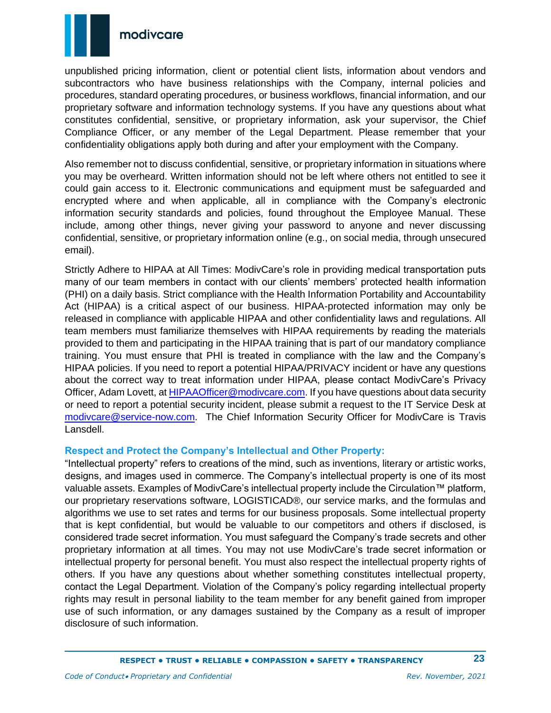

unpublished pricing information, client or potential client lists, information about vendors and subcontractors who have business relationships with the Company, internal policies and procedures, standard operating procedures, or business workflows, financial information, and our proprietary software and information technology systems. If you have any questions about what constitutes confidential, sensitive, or proprietary information, ask your supervisor, the Chief Compliance Officer, or any member of the Legal Department. Please remember that your confidentiality obligations apply both during and after your employment with the Company.

Also remember not to discuss confidential, sensitive, or proprietary information in situations where you may be overheard. Written information should not be left where others not entitled to see it could gain access to it. Electronic communications and equipment must be safeguarded and encrypted where and when applicable, all in compliance with the Company's electronic information security standards and policies, found throughout the Employee Manual. These include, among other things, never giving your password to anyone and never discussing confidential, sensitive, or proprietary information online (e.g., on social media, through unsecured email).

<span id="page-22-0"></span>Strictly Adhere to HIPAA at All Times: ModivCare's role in providing medical transportation puts many of our team members in contact with our clients' members' protected health information (PHI) on a daily basis. Strict compliance with the Health Information Portability and Accountability Act (HIPAA) is a critical aspect of our business. HIPAA-protected information may only be released in compliance with applicable HIPAA and other confidentiality laws and regulations. All team members must familiarize themselves with HIPAA requirements by reading the materials provided to them and participating in the HIPAA training that is part of our mandatory compliance training. You must ensure that PHI is treated in compliance with the law and the Company's HIPAA policies. If you need to report a potential HIPAA/PRIVACY incident or have any questions about the correct way to treat information under HIPAA, please contact ModivCare's Privacy Officer, Adam Lovett, at **HIPAAOfficer@modivcare.com**. If you have questions about data security or need to report a potential security incident, please submit a request to the IT Service Desk at [modivcare@service-now.com.](mailto:modivcare@service-now.com) The Chief Information Security Officer for ModivCare is Travis Lansdell.

#### <span id="page-22-1"></span>**Respect and Protect the Company's Intellectual and Other Property:**

"Intellectual property" refers to creations of the mind, such as inventions, literary or artistic works, designs, and images used in commerce. The Company's intellectual property is one of its most valuable assets. Examples of ModivCare's intellectual property include the Circulation™ platform, our proprietary reservations software, LOGISTICAD®, our service marks, and the formulas and algorithms we use to set rates and terms for our business proposals. Some intellectual property that is kept confidential, but would be valuable to our competitors and others if disclosed, is considered trade secret information. You must safeguard the Company's trade secrets and other proprietary information at all times. You may not use ModivCare's trade secret information or intellectual property for personal benefit. You must also respect the intellectual property rights of others. If you have any questions about whether something constitutes intellectual property, contact the Legal Department. Violation of the Company's policy regarding intellectual property rights may result in personal liability to the team member for any benefit gained from improper use of such information, or any damages sustained by the Company as a result of improper disclosure of such information.